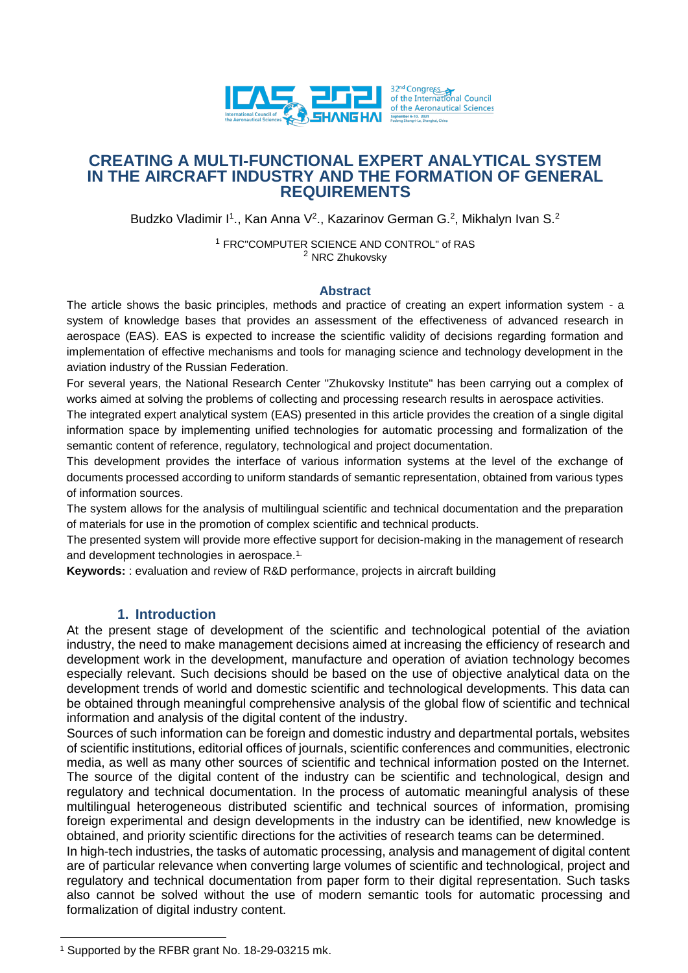

## **CREATING A MULTI-FUNCTIONAL EXPERT ANALYTICAL SYSTEM IN THE AIRCRAFT INDUSTRY AND THE FORMATION OF GENERAL REQUIREMENTS**

Budzko Vladimir I<sup>1</sup>., Kan Anna V<sup>2</sup>., Kazarinov German G.<sup>2</sup>, Mikhalyn Ivan S.<sup>2</sup>

<sup>1</sup> FRC"COMPUTER SCIENCE AND CONTROL" of RAS <sup>2</sup> NRC Zhukovsky

#### **Abstract**

The article shows the basic principles, methods and practice of creating an expert information system - a system of knowledge bases that provides an assessment of the effectiveness of advanced research in aerospace (EAS). EAS is expected to increase the scientific validity of decisions regarding formation and implementation of effective mechanisms and tools for managing science and technology development in the aviation industry of the Russian Federation.

For several years, the National Research Center "Zhukovsky Institute" has been carrying out a complex of works aimed at solving the problems of collecting and processing research results in aerospace activities.

The integrated expert analytical system (EAS) presented in this article provides the creation of a single digital information space by implementing unified technologies for automatic processing and formalization of the semantic content of reference, regulatory, technological and project documentation.

This development provides the interface of various information systems at the level of the exchange of documents processed according to uniform standards of semantic representation, obtained from various types of information sources.

The system allows for the analysis of multilingual scientific and technical documentation and the preparation of materials for use in the promotion of complex scientific and technical products.

The presented system will provide more effective support for decision-making in the management of research and development technologies in aerospace.1.

**Keywords:** : evaluation and review of R&D performance, projects in aircraft building

### **1. Introduction**

At the present stage of development of the scientific and technological potential of the aviation industry, the need to make management decisions aimed at increasing the efficiency of research and development work in the development, manufacture and operation of aviation technology becomes especially relevant. Such decisions should be based on the use of objective analytical data on the development trends of world and domestic scientific and technological developments. This data can be obtained through meaningful comprehensive analysis of the global flow of scientific and technical information and analysis of the digital content of the industry.

Sources of such information can be foreign and domestic industry and departmental portals, websites of scientific institutions, editorial offices of journals, scientific conferences and communities, electronic media, as well as many other sources of scientific and technical information posted on the Internet. The source of the digital content of the industry can be scientific and technological, design and regulatory and technical documentation. In the process of automatic meaningful analysis of these multilingual heterogeneous distributed scientific and technical sources of information, promising foreign experimental and design developments in the industry can be identified, new knowledge is obtained, and priority scientific directions for the activities of research teams can be determined.

In high-tech industries, the tasks of automatic processing, analysis and management of digital content are of particular relevance when converting large volumes of scientific and technological, project and regulatory and technical documentation from paper form to their digital representation. Such tasks also cannot be solved without the use of modern semantic tools for automatic processing and formalization of digital industry content.

 $\overline{a}$ 

<sup>1</sup> Supported by the RFBR grant No. 18-29-03215 mk.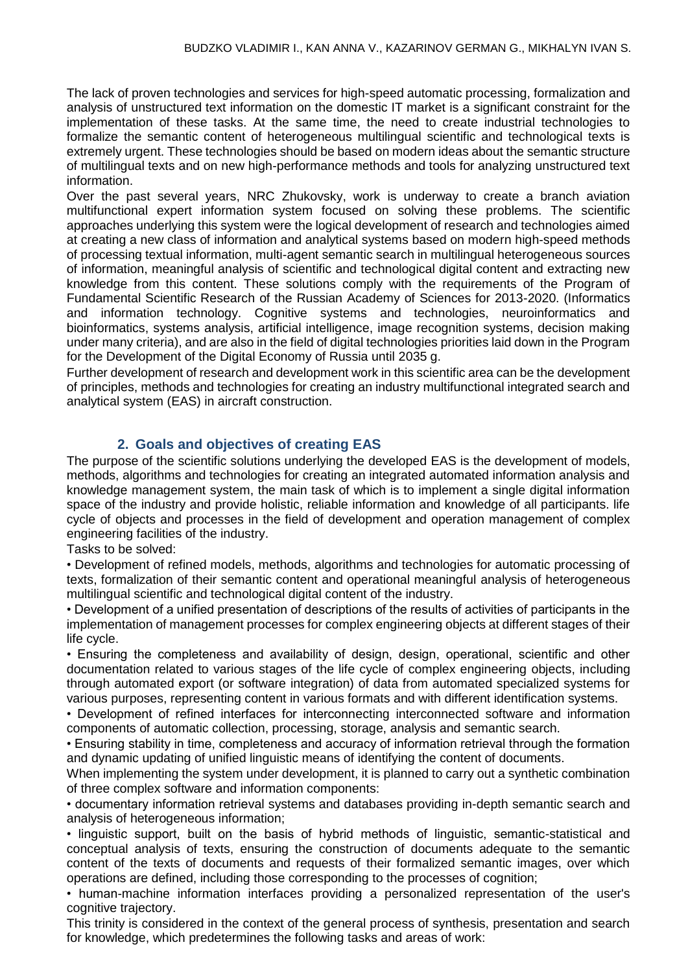The lack of proven technologies and services for high-speed automatic processing, formalization and analysis of unstructured text information on the domestic IT market is a significant constraint for the implementation of these tasks. At the same time, the need to create industrial technologies to formalize the semantic content of heterogeneous multilingual scientific and technological texts is extremely urgent. These technologies should be based on modern ideas about the semantic structure of multilingual texts and on new high-performance methods and tools for analyzing unstructured text information.

Over the past several years, NRC Zhukovsky, work is underway to create a branch aviation multifunctional expert information system focused on solving these problems. The scientific approaches underlying this system were the logical development of research and technologies aimed at creating a new class of information and analytical systems based on modern high-speed methods of processing textual information, multi-agent semantic search in multilingual heterogeneous sources of information, meaningful analysis of scientific and technological digital content and extracting new knowledge from this content. These solutions comply with the requirements of the Program of Fundamental Scientific Research of the Russian Academy of Sciences for 2013-2020. (Informatics and information technology. Cognitive systems and technologies, neuroinformatics and bioinformatics, systems analysis, artificial intelligence, image recognition systems, decision making under many criteria), and are also in the field of digital technologies priorities laid down in the Program for the Development of the Digital Economy of Russia until 2035 g.

Further development of research and development work in this scientific area can be the development of principles, methods and technologies for creating an industry multifunctional integrated search and analytical system (EAS) in aircraft construction.

# **2. Goals and objectives of creating EAS**

The purpose of the scientific solutions underlying the developed EAS is the development of models, methods, algorithms and technologies for creating an integrated automated information analysis and knowledge management system, the main task of which is to implement a single digital information space of the industry and provide holistic, reliable information and knowledge of all participants. life cycle of objects and processes in the field of development and operation management of complex engineering facilities of the industry.

Tasks to be solved:

• Development of refined models, methods, algorithms and technologies for automatic processing of texts, formalization of their semantic content and operational meaningful analysis of heterogeneous multilingual scientific and technological digital content of the industry.

• Development of a unified presentation of descriptions of the results of activities of participants in the implementation of management processes for complex engineering objects at different stages of their life cycle.

• Ensuring the completeness and availability of design, design, operational, scientific and other documentation related to various stages of the life cycle of complex engineering objects, including through automated export (or software integration) of data from automated specialized systems for various purposes, representing content in various formats and with different identification systems.

• Development of refined interfaces for interconnecting interconnected software and information components of automatic collection, processing, storage, analysis and semantic search.

• Ensuring stability in time, completeness and accuracy of information retrieval through the formation and dynamic updating of unified linguistic means of identifying the content of documents.

When implementing the system under development, it is planned to carry out a synthetic combination of three complex software and information components:

• documentary information retrieval systems and databases providing in-depth semantic search and analysis of heterogeneous information;

• linguistic support, built on the basis of hybrid methods of linguistic, semantic-statistical and conceptual analysis of texts, ensuring the construction of documents adequate to the semantic content of the texts of documents and requests of their formalized semantic images, over which operations are defined, including those corresponding to the processes of cognition;

• human-machine information interfaces providing a personalized representation of the user's cognitive trajectory.

This trinity is considered in the context of the general process of synthesis, presentation and search for knowledge, which predetermines the following tasks and areas of work: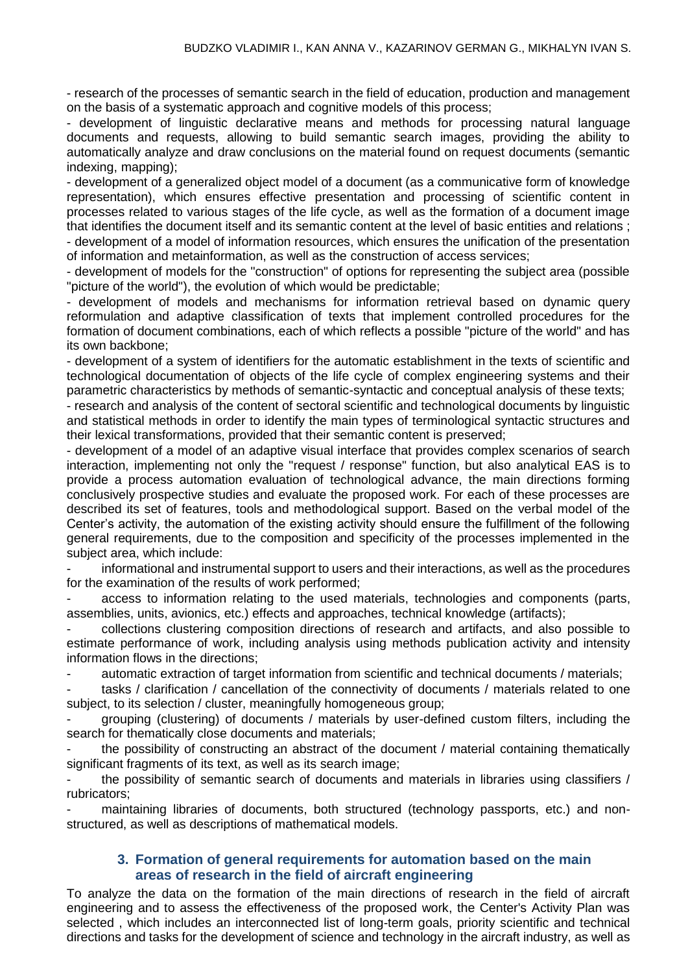- research of the processes of semantic search in the field of education, production and management on the basis of a systematic approach and cognitive models of this process;

- development of linguistic declarative means and methods for processing natural language documents and requests, allowing to build semantic search images, providing the ability to automatically analyze and draw conclusions on the material found on request documents (semantic indexing, mapping);

- development of a generalized object model of a document (as a communicative form of knowledge representation), which ensures effective presentation and processing of scientific content in processes related to various stages of the life cycle, as well as the formation of a document image that identifies the document itself and its semantic content at the level of basic entities and relations ; - development of a model of information resources, which ensures the unification of the presentation

of information and metainformation, as well as the construction of access services;

- development of models for the "construction" of options for representing the subject area (possible "picture of the world"), the evolution of which would be predictable;

- development of models and mechanisms for information retrieval based on dynamic query reformulation and adaptive classification of texts that implement controlled procedures for the formation of document combinations, each of which reflects a possible "picture of the world" and has its own backbone;

- development of a system of identifiers for the automatic establishment in the texts of scientific and technological documentation of objects of the life cycle of complex engineering systems and their parametric characteristics by methods of semantic-syntactic and conceptual analysis of these texts;

- research and analysis of the content of sectoral scientific and technological documents by linguistic and statistical methods in order to identify the main types of terminological syntactic structures and their lexical transformations, provided that their semantic content is preserved;

- development of a model of an adaptive visual interface that provides complex scenarios of search interaction, implementing not only the "request / response" function, but also analytical EAS is to provide a process automation evaluation of technological advance, the main directions forming conclusively prospective studies and evaluate the proposed work. For each of these processes are described its set of features, tools and methodological support. Based on the verbal model of the Center's activity, the automation of the existing activity should ensure the fulfillment of the following general requirements, due to the composition and specificity of the processes implemented in the subject area, which include:

informational and instrumental support to users and their interactions, as well as the procedures for the examination of the results of work performed;

access to information relating to the used materials, technologies and components (parts, assemblies, units, avionics, etc.) effects and approaches, technical knowledge (artifacts);

- collections clustering composition directions of research and artifacts, and also possible to estimate performance of work, including analysis using methods publication activity and intensity information flows in the directions;

- automatic extraction of target information from scientific and technical documents / materials;

tasks / clarification / cancellation of the connectivity of documents / materials related to one subject, to its selection / cluster, meaningfully homogeneous group;

- grouping (clustering) of documents / materials by user-defined custom filters, including the search for thematically close documents and materials;

the possibility of constructing an abstract of the document / material containing thematically significant fragments of its text, as well as its search image;

the possibility of semantic search of documents and materials in libraries using classifiers / rubricators;

maintaining libraries of documents, both structured (technology passports, etc.) and nonstructured, as well as descriptions of mathematical models.

### **3. Formation of general requirements for automation based on the main areas of research in the field of aircraft engineering**

To analyze the data on the formation of the main directions of research in the field of aircraft engineering and to assess the effectiveness of the proposed work, the Center's Activity Plan was selected , which includes an interconnected list of long-term goals, priority scientific and technical directions and tasks for the development of science and technology in the aircraft industry, as well as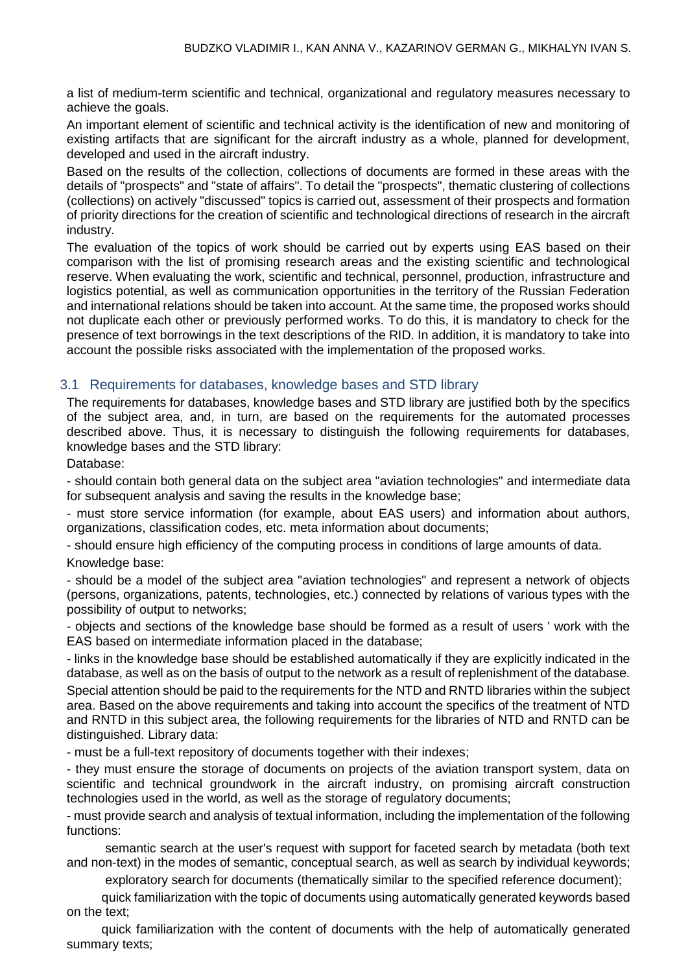a list of medium-term scientific and technical, organizational and regulatory measures necessary to achieve the goals.

An important element of scientific and technical activity is the identification of new and monitoring of existing artifacts that are significant for the aircraft industry as a whole, planned for development, developed and used in the aircraft industry.

Based on the results of the collection, collections of documents are formed in these areas with the details of "prospects" and "state of affairs". To detail the "prospects", thematic clustering of collections (collections) on actively "discussed" topics is carried out, assessment of their prospects and formation of priority directions for the creation of scientific and technological directions of research in the aircraft industry.

The evaluation of the topics of work should be carried out by experts using EAS based on their comparison with the list of promising research areas and the existing scientific and technological reserve. When evaluating the work, scientific and technical, personnel, production, infrastructure and logistics potential, as well as communication opportunities in the territory of the Russian Federation and international relations should be taken into account. At the same time, the proposed works should not duplicate each other or previously performed works. To do this, it is mandatory to check for the presence of text borrowings in the text descriptions of the RID. In addition, it is mandatory to take into account the possible risks associated with the implementation of the proposed works.

### 3.1 Requirements for databases, knowledge bases and STD library

The requirements for databases, knowledge bases and STD library are justified both by the specifics of the subject area, and, in turn, are based on the requirements for the automated processes described above. Thus, it is necessary to distinguish the following requirements for databases, knowledge bases and the STD library:

Database:

- should contain both general data on the subject area "aviation technologies" and intermediate data for subsequent analysis and saving the results in the knowledge base;

- must store service information (for example, about EAS users) and information about authors, organizations, classification codes, etc. meta information about documents;

- should ensure high efficiency of the computing process in conditions of large amounts of data. Knowledge base:

- should be a model of the subject area "aviation technologies" and represent a network of objects (persons, organizations, patents, technologies, etc.) connected by relations of various types with the possibility of output to networks;

- objects and sections of the knowledge base should be formed as a result of users ' work with the EAS based on intermediate information placed in the database;

- links in the knowledge base should be established automatically if they are explicitly indicated in the database, as well as on the basis of output to the network as a result of replenishment of the database. Special attention should be paid to the requirements for the NTD and RNTD libraries within the subject area. Based on the above requirements and taking into account the specifics of the treatment of NTD and RNTD in this subject area, the following requirements for the libraries of NTD and RNTD can be distinguished. Library data:

- must be a full-text repository of documents together with their indexes;

- they must ensure the storage of documents on projects of the aviation transport system, data on scientific and technical groundwork in the aircraft industry, on promising aircraft construction technologies used in the world, as well as the storage of regulatory documents;

- must provide search and analysis of textual information, including the implementation of the following functions:

semantic search at the user's request with support for faceted search by metadata (both text and non-text) in the modes of semantic, conceptual search, as well as search by individual keywords;

exploratory search for documents (thematically similar to the specified reference document);

quick familiarization with the topic of documents using automatically generated keywords based on the text;

quick familiarization with the content of documents with the help of automatically generated summary texts;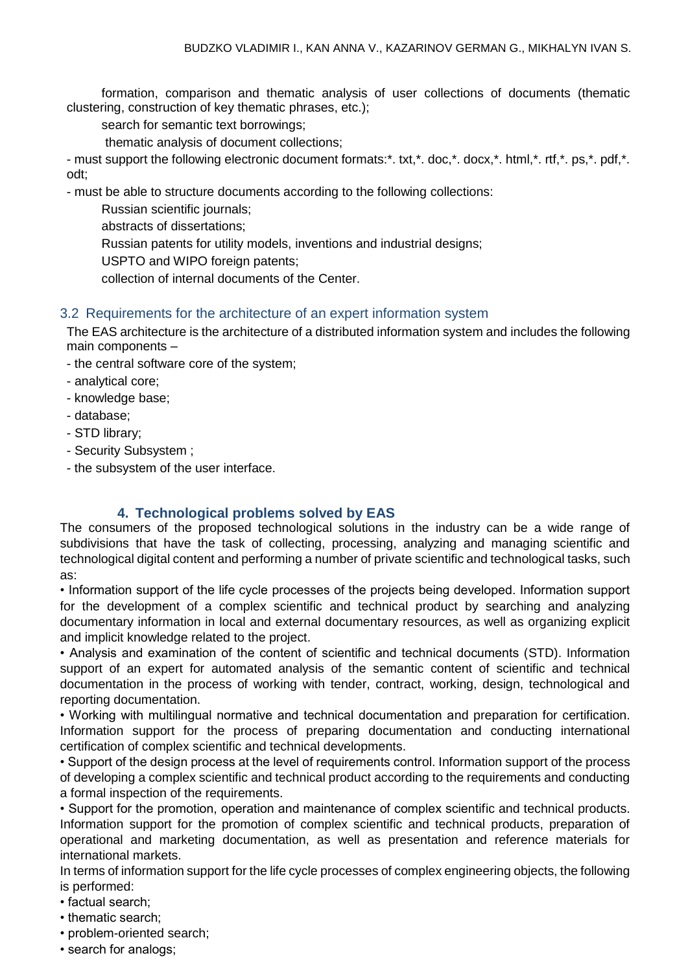formation, comparison and thematic analysis of user collections of documents (thematic clustering, construction of key thematic phrases, etc.);

search for semantic text borrowings;

thematic analysis of document collections;

- must support the following electronic document formats:\*. txt,\*. doc,\*. docx,\*. html,\*. rtf,\*. ps,\*. pdf,\*. odt;

- must be able to structure documents according to the following collections:

Russian scientific journals;

abstracts of dissertations;

Russian patents for utility models, inventions and industrial designs;

USPTO and WIPO foreign patents;

collection of internal documents of the Center.

#### 3.2 Requirements for the architecture of an expert information system

The EAS architecture is the architecture of a distributed information system and includes the following main components –

- the central software core of the system;
- analytical core;
- knowledge base;
- database;
- STD library;
- Security Subsystem ;
- the subsystem of the user interface.

#### **4. Technological problems solved by EAS**

The consumers of the proposed technological solutions in the industry can be a wide range of subdivisions that have the task of collecting, processing, analyzing and managing scientific and technological digital content and performing a number of private scientific and technological tasks, such as:

• Information support of the life cycle processes of the projects being developed. Information support for the development of a complex scientific and technical product by searching and analyzing documentary information in local and external documentary resources, as well as organizing explicit and implicit knowledge related to the project.

• Analysis and examination of the content of scientific and technical documents (STD). Information support of an expert for automated analysis of the semantic content of scientific and technical documentation in the process of working with tender, contract, working, design, technological and reporting documentation.

• Working with multilingual normative and technical documentation and preparation for certification. Information support for the process of preparing documentation and conducting international certification of complex scientific and technical developments.

• Support of the design process at the level of requirements control. Information support of the process of developing a complex scientific and technical product according to the requirements and conducting a formal inspection of the requirements.

• Support for the promotion, operation and maintenance of complex scientific and technical products. Information support for the promotion of complex scientific and technical products, preparation of operational and marketing documentation, as well as presentation and reference materials for international markets.

In terms of information support for the life cycle processes of complex engineering objects, the following is performed:

- factual search;
- thematic search;
- problem-oriented search;
- search for analogs;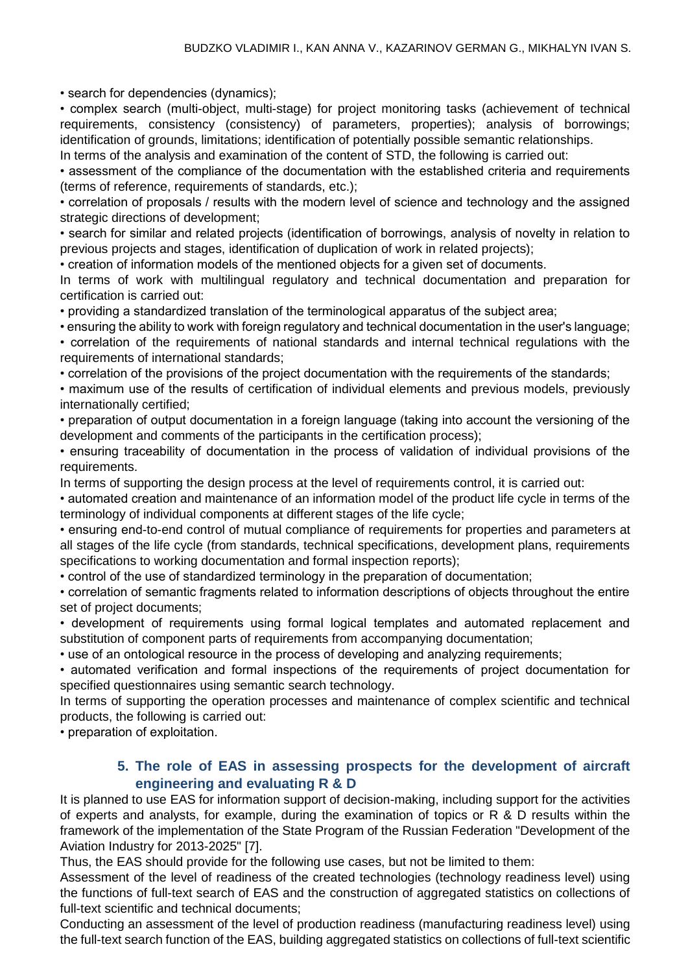• search for dependencies (dynamics);

• complex search (multi-object, multi-stage) for project monitoring tasks (achievement of technical requirements, consistency (consistency) of parameters, properties); analysis of borrowings; identification of grounds, limitations; identification of potentially possible semantic relationships.

In terms of the analysis and examination of the content of STD, the following is carried out:

• assessment of the compliance of the documentation with the established criteria and requirements (terms of reference, requirements of standards, etc.);

• correlation of proposals / results with the modern level of science and technology and the assigned strategic directions of development;

• search for similar and related projects (identification of borrowings, analysis of novelty in relation to previous projects and stages, identification of duplication of work in related projects);

• creation of information models of the mentioned objects for a given set of documents.

In terms of work with multilingual regulatory and technical documentation and preparation for certification is carried out:

• providing a standardized translation of the terminological apparatus of the subject area;

• ensuring the ability to work with foreign regulatory and technical documentation in the user's language;

• correlation of the requirements of national standards and internal technical regulations with the requirements of international standards;

• correlation of the provisions of the project documentation with the requirements of the standards;

• maximum use of the results of certification of individual elements and previous models, previously internationally certified;

• preparation of output documentation in a foreign language (taking into account the versioning of the development and comments of the participants in the certification process);

• ensuring traceability of documentation in the process of validation of individual provisions of the requirements.

In terms of supporting the design process at the level of requirements control, it is carried out:

• automated creation and maintenance of an information model of the product life cycle in terms of the terminology of individual components at different stages of the life cycle;

• ensuring end-to-end control of mutual compliance of requirements for properties and parameters at all stages of the life cycle (from standards, technical specifications, development plans, requirements specifications to working documentation and formal inspection reports);

• control of the use of standardized terminology in the preparation of documentation;

• correlation of semantic fragments related to information descriptions of objects throughout the entire set of project documents;

• development of requirements using formal logical templates and automated replacement and substitution of component parts of requirements from accompanying documentation;

• use of an ontological resource in the process of developing and analyzing requirements;

• automated verification and formal inspections of the requirements of project documentation for specified questionnaires using semantic search technology.

In terms of supporting the operation processes and maintenance of complex scientific and technical products, the following is carried out:

• preparation of exploitation.

## **5. The role of EAS in assessing prospects for the development of aircraft engineering and evaluating R & D**

It is planned to use EAS for information support of decision-making, including support for the activities of experts and analysts, for example, during the examination of topics or R & D results within the framework of the implementation of the State Program of the Russian Federation "Development of the Aviation Industry for 2013-2025" [7].

Thus, the EAS should provide for the following use cases, but not be limited to them:

Assessment of the level of readiness of the created technologies (technology readiness level) using the functions of full-text search of EAS and the construction of aggregated statistics on collections of full-text scientific and technical documents;

Conducting an assessment of the level of production readiness (manufacturing readiness level) using the full-text search function of the EAS, building aggregated statistics on collections of full-text scientific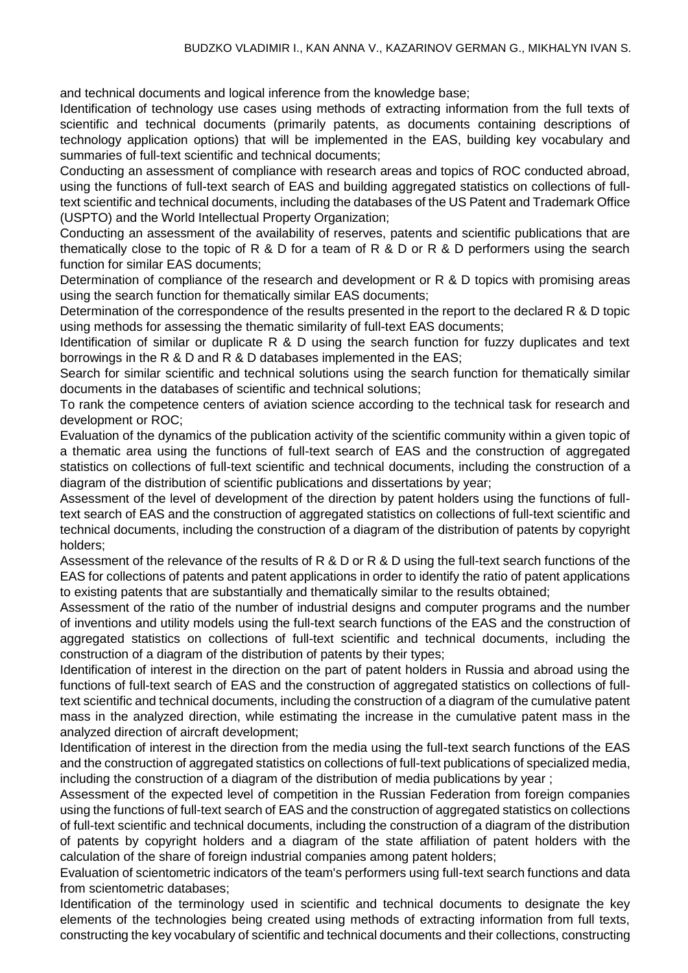and technical documents and logical inference from the knowledge base;

Identification of technology use cases using methods of extracting information from the full texts of scientific and technical documents (primarily patents, as documents containing descriptions of technology application options) that will be implemented in the EAS, building key vocabulary and summaries of full-text scientific and technical documents;

Conducting an assessment of compliance with research areas and topics of ROC conducted abroad, using the functions of full-text search of EAS and building aggregated statistics on collections of fulltext scientific and technical documents, including the databases of the US Patent and Trademark Office (USPTO) and the World Intellectual Property Organization;

Conducting an assessment of the availability of reserves, patents and scientific publications that are thematically close to the topic of R & D for a team of R & D or R & D performers using the search function for similar EAS documents;

Determination of compliance of the research and development or R & D topics with promising areas using the search function for thematically similar EAS documents;

Determination of the correspondence of the results presented in the report to the declared R & D topic using methods for assessing the thematic similarity of full-text EAS documents;

Identification of similar or duplicate R & D using the search function for fuzzy duplicates and text borrowings in the R & D and R & D databases implemented in the EAS;

Search for similar scientific and technical solutions using the search function for thematically similar documents in the databases of scientific and technical solutions;

To rank the competence centers of aviation science according to the technical task for research and development or ROC;

Evaluation of the dynamics of the publication activity of the scientific community within a given topic of a thematic area using the functions of full-text search of EAS and the construction of aggregated statistics on collections of full-text scientific and technical documents, including the construction of a diagram of the distribution of scientific publications and dissertations by year;

Assessment of the level of development of the direction by patent holders using the functions of fulltext search of EAS and the construction of aggregated statistics on collections of full-text scientific and technical documents, including the construction of a diagram of the distribution of patents by copyright holders;

Assessment of the relevance of the results of R & D or R & D using the full-text search functions of the EAS for collections of patents and patent applications in order to identify the ratio of patent applications to existing patents that are substantially and thematically similar to the results obtained;

Assessment of the ratio of the number of industrial designs and computer programs and the number of inventions and utility models using the full-text search functions of the EAS and the construction of aggregated statistics on collections of full-text scientific and technical documents, including the construction of a diagram of the distribution of patents by their types;

Identification of interest in the direction on the part of patent holders in Russia and abroad using the functions of full-text search of EAS and the construction of aggregated statistics on collections of fulltext scientific and technical documents, including the construction of a diagram of the cumulative patent mass in the analyzed direction, while estimating the increase in the cumulative patent mass in the analyzed direction of aircraft development;

Identification of interest in the direction from the media using the full-text search functions of the EAS and the construction of aggregated statistics on collections of full-text publications of specialized media, including the construction of a diagram of the distribution of media publications by year ;

Assessment of the expected level of competition in the Russian Federation from foreign companies using the functions of full-text search of EAS and the construction of aggregated statistics on collections of full-text scientific and technical documents, including the construction of a diagram of the distribution of patents by copyright holders and a diagram of the state affiliation of patent holders with the calculation of the share of foreign industrial companies among patent holders;

Evaluation of scientometric indicators of the team's performers using full-text search functions and data from scientometric databases;

Identification of the terminology used in scientific and technical documents to designate the key elements of the technologies being created using methods of extracting information from full texts, constructing the key vocabulary of scientific and technical documents and their collections, constructing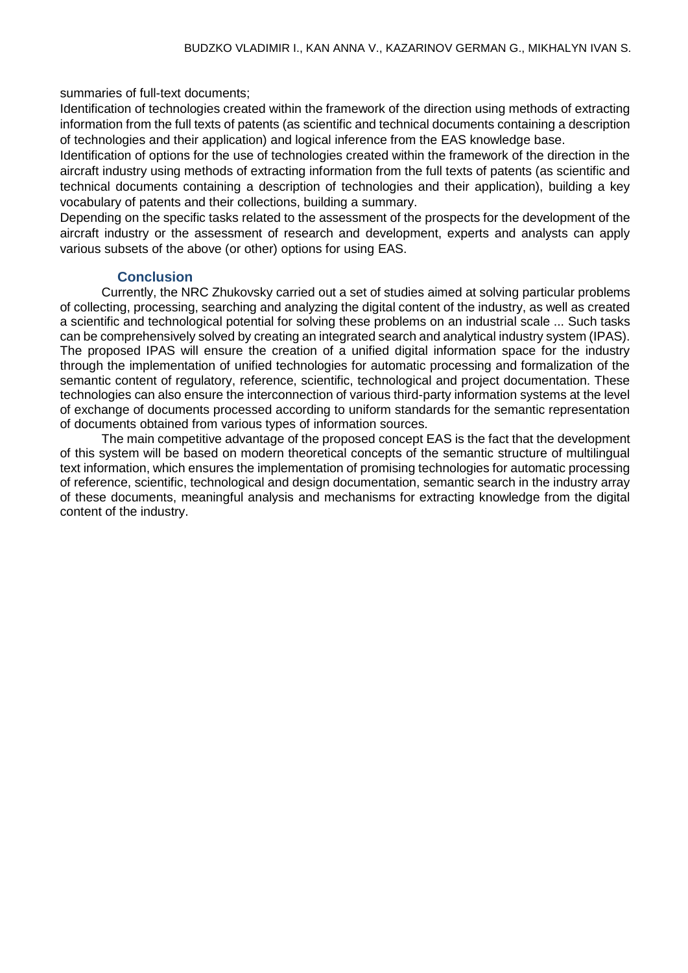summaries of full-text documents;

Identification of technologies created within the framework of the direction using methods of extracting information from the full texts of patents (as scientific and technical documents containing a description of technologies and their application) and logical inference from the EAS knowledge base.

Identification of options for the use of technologies created within the framework of the direction in the aircraft industry using methods of extracting information from the full texts of patents (as scientific and technical documents containing a description of technologies and their application), building a key vocabulary of patents and their collections, building a summary.

Depending on the specific tasks related to the assessment of the prospects for the development of the aircraft industry or the assessment of research and development, experts and analysts can apply various subsets of the above (or other) options for using EAS.

### **Conclusion**

Currently, the NRC Zhukovsky carried out a set of studies aimed at solving particular problems of collecting, processing, searching and analyzing the digital content of the industry, as well as created a scientific and technological potential for solving these problems on an industrial scale ... Such tasks can be comprehensively solved by creating an integrated search and analytical industry system (IPAS). The proposed IPAS will ensure the creation of a unified digital information space for the industry through the implementation of unified technologies for automatic processing and formalization of the semantic content of regulatory, reference, scientific, technological and project documentation. These technologies can also ensure the interconnection of various third-party information systems at the level of exchange of documents processed according to uniform standards for the semantic representation of documents obtained from various types of information sources.

The main competitive advantage of the proposed concept EAS is the fact that the development of this system will be based on modern theoretical concepts of the semantic structure of multilingual text information, which ensures the implementation of promising technologies for automatic processing of reference, scientific, technological and design documentation, semantic search in the industry array of these documents, meaningful analysis and mechanisms for extracting knowledge from the digital content of the industry.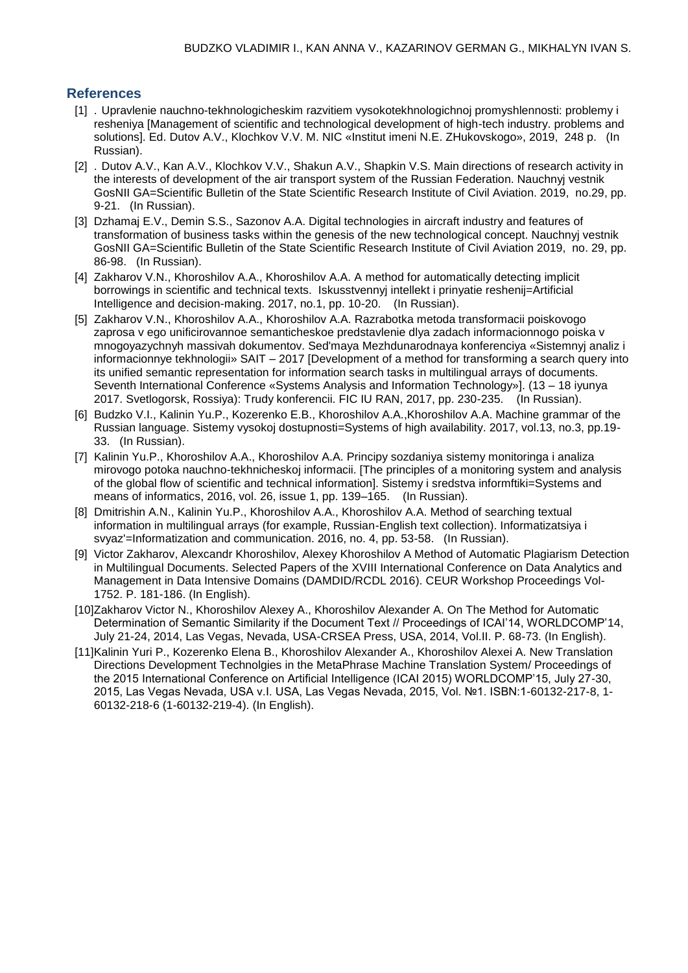### **References**

- [1] . Upravlenie nauchno-tekhnologicheskim razvitiem vysokotekhnologichnoj promyshlennosti: problemy i resheniya [Management of scientific and technological development of high-tech industry. problems and solutions]. Ed. Dutov A.V., Klochkov V.V. M. NIC «Institut imeni N.E. ZHukovskogo», 2019, 248 p. (In Russian).
- [2] . Dutov A.V., Kan A.V., Klochkov V.V., Shakun A.V., Shapkin V.S. Main directions of research activity in the interests of development of the air transport system of the Russian Federation. Nauchnyj vestnik GosNII GA=Scientific Bulletin of the State Scientific Research Institute of Civil Aviation. 2019, no.29, pp. 9-21. (In Russian).
- [3] Dzhamaj E.V., Demin S.S., Sazonov A.A. Digital technologies in aircraft industry and features of transformation of business tasks within the genesis of the new technological concept. Nauchnyj vestnik GosNII GA=Scientific Bulletin of the State Scientific Research Institute of Civil Aviation 2019, no. 29, pp. 86-98. (In Russian).
- [4] Zakharov V.N., Khoroshilov A.A., Khoroshilov A.A. A method for automatically detecting implicit borrowings in scientific and technical texts. Iskusstvennyj intellekt i prinyatie reshenij=Artificial Intelligence and decision-making. 2017, no.1, pp. 10-20. (In Russian).
- [5] Zakharov V.N., Khoroshilov A.A., Khoroshilov A.A. Razrabotka metoda transformacii poiskovogo zaprosa v ego unificirovannoe semanticheskoe predstavlenie dlya zadach informacionnogo poiska v mnogoyazychnyh massivah dokumentov. Sed'maya Mezhdunarodnaya konferenciya «Sistemnyj analiz i informacionnye tekhnologii» SAIT – 2017 [Development of a method for transforming a search query into its unified semantic representation for information search tasks in multilingual arrays of documents. Seventh International Conference «Systems Analysis and Information Technology»]. (13 – 18 iyunya 2017. Svetlogorsk, Rossiya): Trudy konferencii. FIC IU RAN, 2017, pp. 230-235. (In Russian).
- [6] Budzko V.I., Kalinin Yu.P., Kozerenko E.B., Khoroshilov A.A.,Khoroshilov A.A. Machine grammar of the Russian language. Sistemy vysokoj dostupnosti=Systems of high availability. 2017, vol.13, no.3, pp.19- 33. (In Russian).
- [7] Kalinin Yu.P., Khoroshilov A.A., Khoroshilov A.A. Principy sozdaniya sistemy monitoringa i analiza mirovogo potoka nauchno-tekhnicheskoj informacii. [The principles of a monitoring system and analysis of the global flow of scientific and technical information]. Sistemy i sredstva informftiki=Systems and means of informatics, 2016, vol. 26, issue 1, pp. 139–165. (In Russian).
- [8] Dmitrishin A.N., Kalinin Yu.P., Khoroshilov A.A., Khoroshilov A.A. Method of searching textual information in multilingual arrays (for example, Russian-English text collection). Informatizatsiya i svyaz'=Informatization and communication. 2016, no. 4, pp. 53-58. (In Russian).
- [9] Victor Zakharov, Alexcandr Khoroshilov, Alexey Khoroshilov A Method of Automatic Plagiarism Detection in Multilingual Documents. Selected Papers of the XVIII International Conference on Data Analytics and Management in Data Intensive Domains (DAMDID/RCDL 2016). CEUR Workshop Proceedings Vol-1752. P. 181-186. (In English).
- [10]Zakharov Victor N., Khoroshilov Alexey A., Khoroshilov Alexander A. On The Method for Automatic Determination of Semantic Similarity if the Document Text // Proceedings of ICAI'14, WORLDCOMP'14, July 21-24, 2014, Las Vegas, Nevada, USA-CRSEA Press, USA, 2014, Vol.II. P. 68-73. (In English).
- [11]Kalinin Yuri P., Kozerenko Elena B., Khoroshilov Alexander A., Khoroshilov Alexei A. New Translation Directions Development Technolgies in the MetaPhrase Machine Translation System/ Proceedings of the 2015 International Conference on Artificial Intelligence (ICAI 2015) WORLDCOMP'15, July 27-30, 2015, Las Vegas Nevada, USA v.I. USA, Las Vegas Nevada, 2015, Vol. №1. ISBN:1-60132-217-8, 1- 60132-218-6 (1-60132-219-4). (In English).